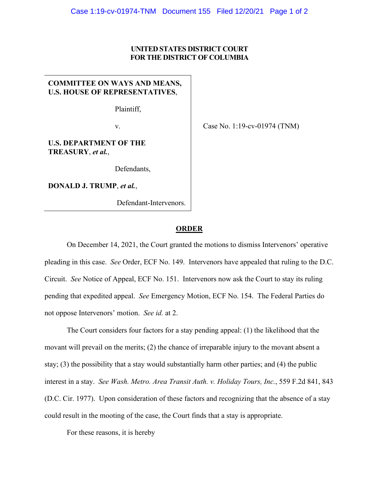## **UNITED STATES DISTRICT COURT FOR THE DISTRICT OF COLUMBIA**

## **COMMITTEE ON WAYS AND MEANS, U.S. HOUSE OF REPRESENTATIVES**,

Plaintiff,

v.

Case No. 1:19-cv-01974 (TNM)

## **U.S. DEPARTMENT OF THE TREASURY**, *et al.*,

Defendants,

**DONALD J. TRUMP**, *et al.*,

Defendant-Intervenors.

## **ORDER**

On December 14, 2021, the Court granted the motions to dismiss Intervenors' operative pleading in this case. *See* Order, ECF No. 149. Intervenors have appealed that ruling to the D.C. Circuit. *See* Notice of Appeal, ECF No. 151. Intervenors now ask the Court to stay its ruling pending that expedited appeal. *See* Emergency Motion, ECF No. 154. The Federal Parties do not oppose Intervenors' motion. *See id.* at 2.

The Court considers four factors for a stay pending appeal: (1) the likelihood that the movant will prevail on the merits; (2) the chance of irreparable injury to the movant absent a stay; (3) the possibility that a stay would substantially harm other parties; and (4) the public interest in a stay. *See Wash. Metro. Area Transit Auth. v. Holiday Tours, Inc.*, 559 F.2d 841, 843 (D.C. Cir. 1977). Upon consideration of these factors and recognizing that the absence of a stay could result in the mooting of the case, the Court finds that a stay is appropriate.

For these reasons, it is hereby